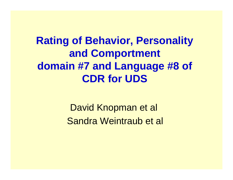## **Rating of Behavior, Personality and Comportment domain #7 and Language #8 of CDR for UDS**

David Knopman et al Sandra Weintraub et al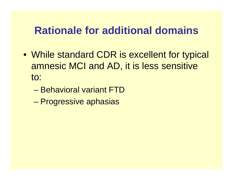### **Rationale for additional domains**

- While standard CDR is excellent for typical amnesic MCI and AD, it is less sensitive to:
	- Behavioral variant FTD
	- Progressive aphasias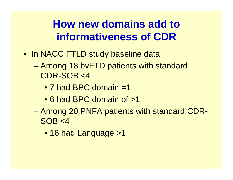## **How new domains add to informativeness of CDR**

- In NACC FTLD study baseline data
	- Among 18 bvFTD patients with standard CDR-SOB <4
		- 7 had BPC domain =1
		- 6 had BPC domain of >1
	- Among 20 PNFA patients with standard CDR- $SOB < 4$ 
		- 16 had Language > 1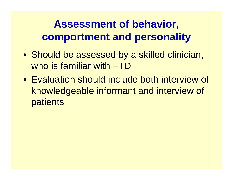# **Assessment of behavior, comportment and personality**

- Should be assessed by a skilled clinician, who is familiar with FTD
- Evaluation should include both interview of knowledgeable informant and interview of patients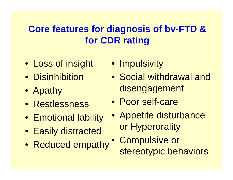### **Core features for diagnosis of bv-FTD & for CDR rating**

- Loss of insight
- Disinhibition
- Apathy
- Restlessness
- Emotional lability
- Easily distracted
- Reduced empathy
- Impulsivity
- Social withdrawal and disengagement
- Poor self-care
- Appetite disturbance or Hyperorality
	- Compulsive or stereotypic behaviors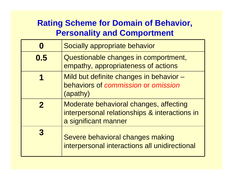#### **Rating Scheme for Domain of Behavior, Personality and Comportment**

|                  | Socially appropriate behavior                                                                                   |  |  |  |
|------------------|-----------------------------------------------------------------------------------------------------------------|--|--|--|
| 0.5              | Questionable changes in comportment,<br>empathy, appropriateness of actions                                     |  |  |  |
|                  | Mild but definite changes in behavior -<br>behaviors of commission or omission<br>(apathy)                      |  |  |  |
| $\boldsymbol{2}$ | Moderate behavioral changes, affecting<br>interpersonal relationships & interactions in<br>a significant manner |  |  |  |
| 3                | Severe behavioral changes making<br>interpersonal interactions all unidirectional                               |  |  |  |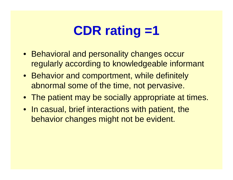# **CDR rating =1**

- Behavioral and personality changes occur regularly according to knowledgeable informant
- Behavior and comportment, while definitely abnormal some of the time, not pervasive.
- The patient may be socially appropriate at times.
- In casual, brief interactions with patient, the behavior changes might not be evident.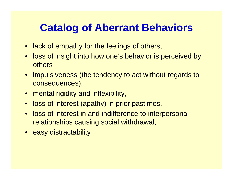### **Catalog of Aberrant Behaviors**

- lack of empathy for the feelings of others,
- loss of insight into how one's behavior is perceived by **others**
- impulsiveness (the tendency to act without regards to consequences),
- mental rigidity and inflexibility,
- loss of interest (apathy) in prior pastimes,
- loss of interest in and indifference to interpersonal relationships causing social withdrawal,
- easy distractability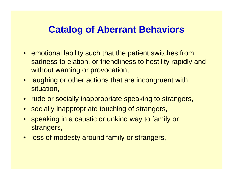### **Catalog of Aberrant Behaviors**

- emotional lability such that the patient switches from sadness to elation, or friendliness to hostility rapidly and without warning or provocation,
- laughing or other actions that are incongruent with situation,
- rude or socially inappropriate speaking to strangers,
- socially inappropriate touching of strangers,
- speaking in a caustic or unkind way to family or strangers,
- loss of modesty around family or strangers,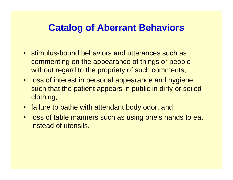#### **Catalog of Aberrant Behaviors**

- stimulus-bound behaviors and utterances such as commenting on the appearance of things or people without regard to the propriety of such comments,
- loss of interest in personal appearance and hygiene such that the patient appears in public in dirty or soiled clothing,
- failure to bathe with attendant body odor, and
- loss of table manners such as using one's hands to eat instead of utensils.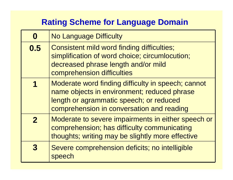#### **Rating Scheme for Language Domain**

|                      | <b>No Language Difficulty</b>                                                                                                                                                             |
|----------------------|-------------------------------------------------------------------------------------------------------------------------------------------------------------------------------------------|
| 0.5                  | Consistent mild word finding difficulties;<br>simplification of word choice; circumlocution;<br>decreased phrase length and/or mild<br>comprehension difficulties                         |
| $\blacktriangleleft$ | Moderate word finding difficulty in speech; cannot<br>name objects in environment; reduced phrase<br>length or agrammatic speech; or reduced<br>comprehension in conversation and reading |
| $\mathbf 2$          | Moderate to severe impairments in either speech or<br>comprehension; has difficulty communicating<br>thoughts; writing may be slightly more effective                                     |
|                      | Severe comprehension deficits; no intelligible<br>speech                                                                                                                                  |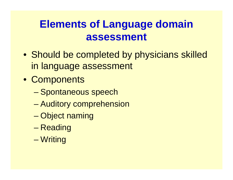## **Elements of Language domain assessment**

- Should be completed by physicians skilled in language assessment
- Components
	- Spontaneous speech
	- Auditory comprehension
	- Object naming
	- Reading
	- Writing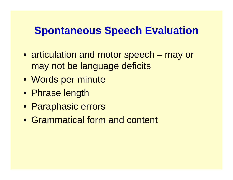### **Spontaneous Speech Evaluation**

- articulation and motor speech may or may not be language deficits
- Words per minute
- Phrase length
- Paraphasic errors
- Grammatical form and content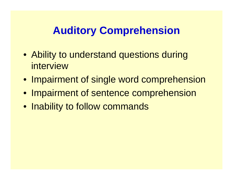# **Auditory Comprehension**

- Ability to understand questions during interview
- Impairment of single word comprehension
- Impairment of sentence comprehension
- Inability to follow commands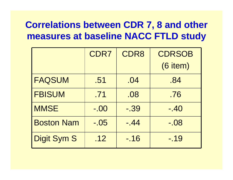### **Correlations between CDR 7, 8 and other measures at baseline NACC FTLD study**

|                    | CDR7   | CDR8    | <b>CDRSOB</b> |
|--------------------|--------|---------|---------------|
|                    |        |         | (6 item)      |
| <b>FAQSUM</b>      | .51    | .04     | .84           |
| <b>FBISUM</b>      | .71    | .08     | .76           |
| <b>MMSE</b>        | $-.00$ | $-0.39$ | $-40$         |
| <b>Boston Nam</b>  | $-.05$ | $-44$   | $-0.08$       |
| <b>Digit Sym S</b> | .12    | $-16$   | $-19$         |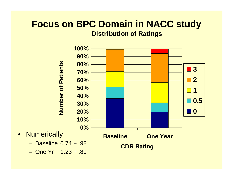#### **Focus on BPC Domain in NACC study Distribution of Ratings**